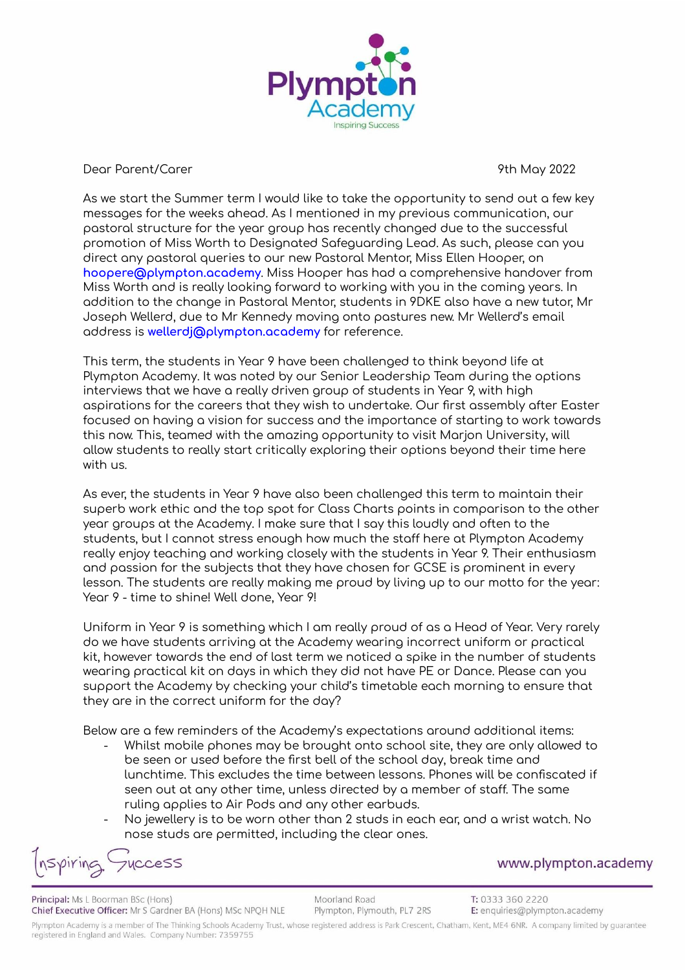

Dear Parent/Carer 9th May 2022

As we start the Summer term I would like to take the opportunity to send out a few key messages for the weeks ahead. As I mentioned in my previous communication, our pastoral structure for the year group has recently changed due to the successful promotion of Miss Worth to Designated Safeguarding Lead. As such, please can you direct any pastoral queries to our new Pastoral Mentor, Miss Ellen Hooper, on **hoopere@plympton.academy**. Miss Hooper has had a comprehensive handover from Miss Worth and is really looking forward to working with you in the coming years. In addition to the change in Pastoral Mentor, students in 9DKE also have a new tutor, Mr Joseph Wellerd, due to Mr Kennedy moving onto pastures new. Mr Wellerd's email address is **wellerdj@plympton.academy** for reference.

This term, the students in Year 9 have been challenged to think beyond life at Plympton Academy. It was noted by our Senior Leadership Team during the options interviews that we have a really driven group of students in Year 9, with high aspirations for the careers that they wish to undertake. Our first assembly after Easter focused on having a vision for success and the importance of starting to work towards this now. This, teamed with the amazing opportunity to visit Marjon University, will allow students to really start critically exploring their options beyond their time here with us.

As ever, the students in Year 9 have also been challenged this term to maintain their superb work ethic and the top spot for Class Charts points in comparison to the other year groups at the Academy. I make sure that I say this loudly and often to the students, but I cannot stress enough how much the staff here at Plympton Academy really enjoy teaching and working closely with the students in Year 9. Their enthusiasm and passion for the subjects that they have chosen for GCSE is prominent in every lesson. The students are really making me proud by living up to our motto for the year: Year 9 - time to shine! Well done, Year 9!

Uniform in Year 9 is something which I am really proud of as a Head of Year. Very rarely do we have students arriving at the Academy wearing incorrect uniform or practical kit, however towards the end of last term we noticed a spike in the number of students wearing practical kit on days in which they did not have PE or Dance. Please can you support the Academy by checking your child's timetable each morning to ensure that they are in the correct uniform for the day?

Below are a few reminders of the Academy's expectations around additional items:

- Whilst mobile phones may be brought onto school site, they are only allowed to be seen or used before the first bell of the school day, break time and lunchtime. This excludes the time between lessons. Phones will be confiscated if seen out at any other time, unless directed by a member of staff. The same ruling applies to Air Pods and any other earbuds.
- No jewellery is to be worn other than 2 studs in each ear, and a wrist watch. No nose studs are permitted, including the clear ones.

nspiring UCCESS

Principal: Ms L Boorman BSc (Hons) Chief Executive Officer: Mr S Gardner BA (Hons) MSc NPQH NLE

Moorland Road Plympton, Plymouth, PL7 2RS

T: 0333 360 2220 E: enquiries@plympton.academy

www.plympton.academy

Plympton Academy is a member of The Thinking Schools Academy Trust, whose registered address is Park Crescent, Chatham, Kent, ME4 6NR. A company limited by guarantee registered in England and Wales. Company Number: 7359755